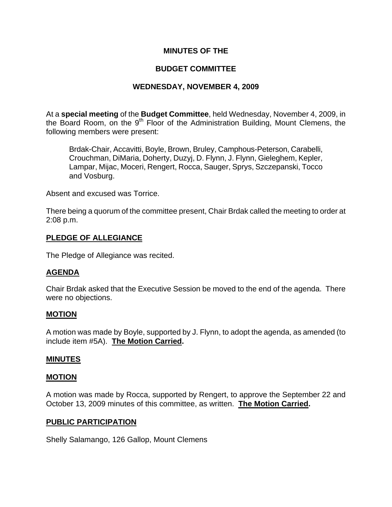# **MINUTES OF THE**

# **BUDGET COMMITTEE**

# **WEDNESDAY, NOVEMBER 4, 2009**

At a **special meeting** of the **Budget Committee**, held Wednesday, November 4, 2009, in the Board Room, on the  $9<sup>th</sup>$  Floor of the Administration Building, Mount Clemens, the following members were present:

Brdak-Chair, Accavitti, Boyle, Brown, Bruley, Camphous-Peterson, Carabelli, Crouchman, DiMaria, Doherty, Duzyj, D. Flynn, J. Flynn, Gieleghem, Kepler, Lampar, Mijac, Moceri, Rengert, Rocca, Sauger, Sprys, Szczepanski, Tocco and Vosburg.

Absent and excused was Torrice.

There being a quorum of the committee present, Chair Brdak called the meeting to order at 2:08 p.m.

## **PLEDGE OF ALLEGIANCE**

The Pledge of Allegiance was recited.

# **AGENDA**

Chair Brdak asked that the Executive Session be moved to the end of the agenda. There were no objections.

#### **MOTION**

A motion was made by Boyle, supported by J. Flynn, to adopt the agenda, as amended (to include item #5A). **The Motion Carried.** 

#### **MINUTES**

#### **MOTION**

A motion was made by Rocca, supported by Rengert, to approve the September 22 and October 13, 2009 minutes of this committee, as written. **The Motion Carried.** 

#### **PUBLIC PARTICIPATION**

Shelly Salamango, 126 Gallop, Mount Clemens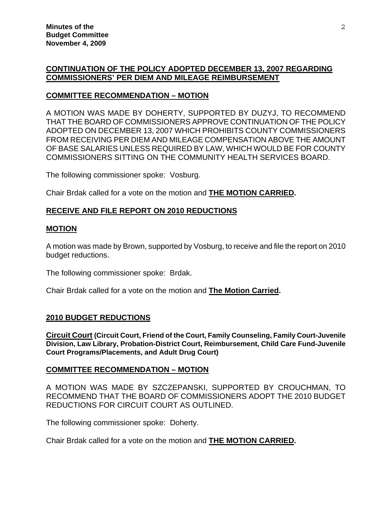# **CONTINUATION OF THE POLICY ADOPTED DECEMBER 13, 2007 REGARDING COMMISSIONERS' PER DIEM AND MILEAGE REIMBURSEMENT**

## **COMMITTEE RECOMMENDATION – MOTION**

A MOTION WAS MADE BY DOHERTY, SUPPORTED BY DUZYJ, TO RECOMMEND THAT THE BOARD OF COMMISSIONERS APPROVE CONTINUATION OF THE POLICY ADOPTED ON DECEMBER 13, 2007 WHICH PROHIBITS COUNTY COMMISSIONERS FROM RECEIVING PER DIEM AND MILEAGE COMPENSATION ABOVE THE AMOUNT OF BASE SALARIES UNLESS REQUIRED BY LAW, WHICH WOULD BE FOR COUNTY COMMISSIONERS SITTING ON THE COMMUNITY HEALTH SERVICES BOARD.

The following commissioner spoke: Vosburg.

Chair Brdak called for a vote on the motion and **THE MOTION CARRIED.**

# **RECEIVE AND FILE REPORT ON 2010 REDUCTIONS**

## **MOTION**

A motion was made by Brown, supported by Vosburg, to receive and file the report on 2010 budget reductions.

The following commissioner spoke: Brdak.

Chair Brdak called for a vote on the motion and **The Motion Carried.**

#### **2010 BUDGET REDUCTIONS**

**Circuit Court (Circuit Court, Friend of the Court, Family Counseling, Family Court-Juvenile Division, Law Library, Probation-District Court, Reimbursement, Child Care Fund-Juvenile Court Programs/Placements, and Adult Drug Court)**

#### **COMMITTEE RECOMMENDATION – MOTION**

A MOTION WAS MADE BY SZCZEPANSKI, SUPPORTED BY CROUCHMAN, TO RECOMMEND THAT THE BOARD OF COMMISSIONERS ADOPT THE 2010 BUDGET REDUCTIONS FOR CIRCUIT COURT AS OUTLINED.

The following commissioner spoke: Doherty.

Chair Brdak called for a vote on the motion and **THE MOTION CARRIED.**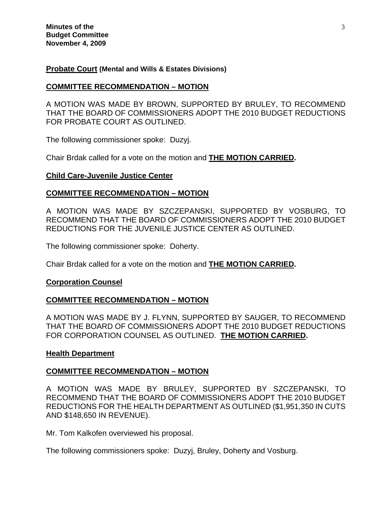### **Probate Court (Mental and Wills & Estates Divisions)**

## **COMMITTEE RECOMMENDATION – MOTION**

A MOTION WAS MADE BY BROWN, SUPPORTED BY BRULEY, TO RECOMMEND THAT THE BOARD OF COMMISSIONERS ADOPT THE 2010 BUDGET REDUCTIONS FOR PROBATE COURT AS OUTLINED.

The following commissioner spoke: Duzyj.

Chair Brdak called for a vote on the motion and **THE MOTION CARRIED.**

## **Child Care-Juvenile Justice Center**

## **COMMITTEE RECOMMENDATION – MOTION**

A MOTION WAS MADE BY SZCZEPANSKI, SUPPORTED BY VOSBURG, TO RECOMMEND THAT THE BOARD OF COMMISSIONERS ADOPT THE 2010 BUDGET REDUCTIONS FOR THE JUVENILE JUSTICE CENTER AS OUTLINED.

The following commissioner spoke: Doherty.

Chair Brdak called for a vote on the motion and **THE MOTION CARRIED.**

#### **Corporation Counsel**

# **COMMITTEE RECOMMENDATION – MOTION**

A MOTION WAS MADE BY J. FLYNN, SUPPORTED BY SAUGER, TO RECOMMEND THAT THE BOARD OF COMMISSIONERS ADOPT THE 2010 BUDGET REDUCTIONS FOR CORPORATION COUNSEL AS OUTLINED. **THE MOTION CARRIED.** 

#### **Health Department**

#### **COMMITTEE RECOMMENDATION – MOTION**

A MOTION WAS MADE BY BRULEY, SUPPORTED BY SZCZEPANSKI, TO RECOMMEND THAT THE BOARD OF COMMISSIONERS ADOPT THE 2010 BUDGET REDUCTIONS FOR THE HEALTH DEPARTMENT AS OUTLINED (\$1,951,350 IN CUTS AND \$148,650 IN REVENUE).

Mr. Tom Kalkofen overviewed his proposal.

The following commissioners spoke: Duzyj, Bruley, Doherty and Vosburg.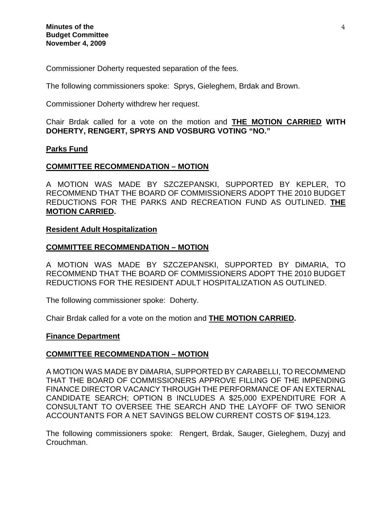Commissioner Doherty requested separation of the fees.

The following commissioners spoke: Sprys, Gieleghem, Brdak and Brown.

Commissioner Doherty withdrew her request.

Chair Brdak called for a vote on the motion and **THE MOTION CARRIED WITH DOHERTY, RENGERT, SPRYS AND VOSBURG VOTING "NO."** 

#### **Parks Fund**

#### **COMMITTEE RECOMMENDATION – MOTION**

A MOTION WAS MADE BY SZCZEPANSKI, SUPPORTED BY KEPLER, TO RECOMMEND THAT THE BOARD OF COMMISSIONERS ADOPT THE 2010 BUDGET REDUCTIONS FOR THE PARKS AND RECREATION FUND AS OUTLINED. **THE MOTION CARRIED.** 

#### **Resident Adult Hospitalization**

#### **COMMITTEE RECOMMENDATION – MOTION**

A MOTION WAS MADE BY SZCZEPANSKI, SUPPORTED BY DiMARIA, TO RECOMMEND THAT THE BOARD OF COMMISSIONERS ADOPT THE 2010 BUDGET REDUCTIONS FOR THE RESIDENT ADULT HOSPITALIZATION AS OUTLINED.

The following commissioner spoke: Doherty.

Chair Brdak called for a vote on the motion and **THE MOTION CARRIED.** 

#### **Finance Department**

#### **COMMITTEE RECOMMENDATION – MOTION**

A MOTION WAS MADE BY DiMARIA, SUPPORTED BY CARABELLI, TO RECOMMEND THAT THE BOARD OF COMMISSIONERS APPROVE FILLING OF THE IMPENDING FINANCE DIRECTOR VACANCY THROUGH THE PERFORMANCE OF AN EXTERNAL CANDIDATE SEARCH; OPTION B INCLUDES A \$25,000 EXPENDITURE FOR A CONSULTANT TO OVERSEE THE SEARCH AND THE LAYOFF OF TWO SENIOR ACCOUNTANTS FOR A NET SAVINGS BELOW CURRENT COSTS OF \$194,123.

The following commissioners spoke: Rengert, Brdak, Sauger, Gieleghem, Duzyj and Crouchman.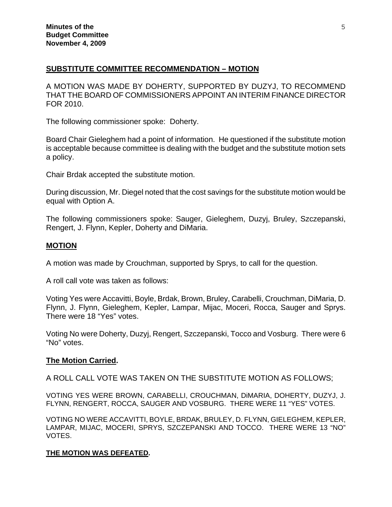# **SUBSTITUTE COMMITTEE RECOMMENDATION – MOTION**

A MOTION WAS MADE BY DOHERTY, SUPPORTED BY DUZYJ, TO RECOMMEND THAT THE BOARD OF COMMISSIONERS APPOINT AN INTERIM FINANCE DIRECTOR FOR 2010.

The following commissioner spoke: Doherty.

Board Chair Gieleghem had a point of information. He questioned if the substitute motion is acceptable because committee is dealing with the budget and the substitute motion sets a policy.

Chair Brdak accepted the substitute motion.

During discussion, Mr. Diegel noted that the cost savings for the substitute motion would be equal with Option A.

The following commissioners spoke: Sauger, Gieleghem, Duzyj, Bruley, Szczepanski, Rengert, J. Flynn, Kepler, Doherty and DiMaria.

# **MOTION**

A motion was made by Crouchman, supported by Sprys, to call for the question.

A roll call vote was taken as follows:

Voting Yes were Accavitti, Boyle, Brdak, Brown, Bruley, Carabelli, Crouchman, DiMaria, D. Flynn, J. Flynn, Gieleghem, Kepler, Lampar, Mijac, Moceri, Rocca, Sauger and Sprys. There were 18 "Yes" votes.

Voting No were Doherty, Duzyj, Rengert, Szczepanski, Tocco and Vosburg. There were 6 "No" votes.

# **The Motion Carried.**

A ROLL CALL VOTE WAS TAKEN ON THE SUBSTITUTE MOTION AS FOLLOWS;

VOTING YES WERE BROWN, CARABELLI, CROUCHMAN, DiMARIA, DOHERTY, DUZYJ, J. FLYNN, RENGERT, ROCCA, SAUGER AND VOSBURG. THERE WERE 11 "YES" VOTES.

VOTING NO WERE ACCAVITTI, BOYLE, BRDAK, BRULEY, D. FLYNN, GIELEGHEM, KEPLER, LAMPAR, MIJAC, MOCERI, SPRYS, SZCZEPANSKI AND TOCCO. THERE WERE 13 "NO" VOTES.

#### **THE MOTION WAS DEFEATED.**